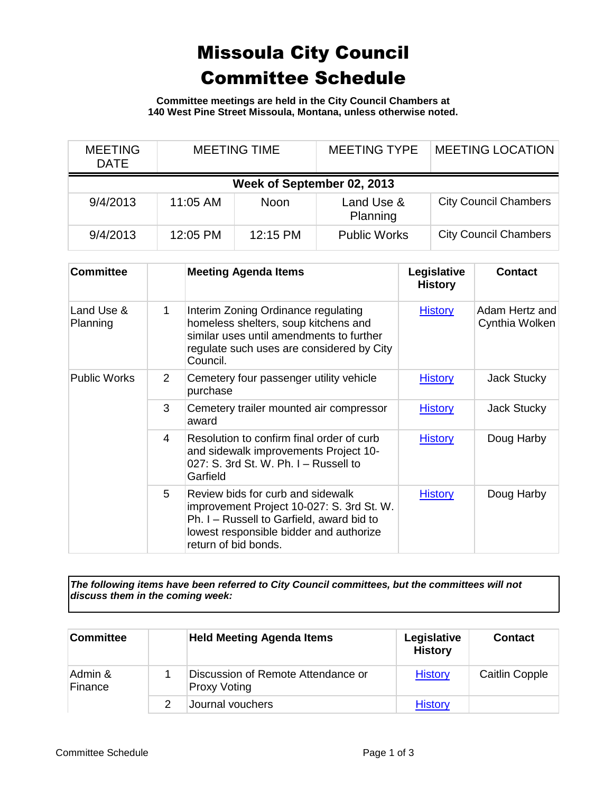## Missoula City Council Committee Schedule

**Committee meetings are held in the City Council Chambers at 140 West Pine Street Missoula, Montana, unless otherwise noted.**

| <b>MEETING</b><br><b>DATE</b> | <b>MEETING TIME</b> |             | <b>MEETING TYPE</b>    | <b>MEETING LOCATION</b>      |  |
|-------------------------------|---------------------|-------------|------------------------|------------------------------|--|
| Week of September 02, 2013    |                     |             |                        |                              |  |
| 9/4/2013                      | 11:05 AM            | <b>Noon</b> | Land Use &<br>Planning | <b>City Council Chambers</b> |  |
| 9/4/2013                      | 12:05 PM            | 12:15 PM    | <b>Public Works</b>    | <b>City Council Chambers</b> |  |

| <b>Committee</b>       |                | <b>Meeting Agenda Items</b>                                                                                                                                                                    | Legislative<br><b>History</b> | Contact                          |
|------------------------|----------------|------------------------------------------------------------------------------------------------------------------------------------------------------------------------------------------------|-------------------------------|----------------------------------|
| Land Use &<br>Planning | 1              | Interim Zoning Ordinance regulating<br>homeless shelters, soup kitchens and<br>similar uses until amendments to further<br>regulate such uses are considered by City<br>Council.               | <b>History</b>                | Adam Hertz and<br>Cynthia Wolken |
| <b>Public Works</b>    | $\mathcal{P}$  | Cemetery four passenger utility vehicle<br>purchase                                                                                                                                            | <b>History</b>                | <b>Jack Stucky</b>               |
|                        | 3              | Cemetery trailer mounted air compressor<br>award                                                                                                                                               | <b>History</b>                | <b>Jack Stucky</b>               |
|                        | $\overline{4}$ | Resolution to confirm final order of curb<br>and sidewalk improvements Project 10-<br>027: S. 3rd St. W. Ph. $I$ – Russell to<br>Garfield                                                      | <b>History</b>                | Doug Harby                       |
|                        | 5              | Review bids for curb and sidewalk<br>improvement Project 10-027: S. 3rd St. W.<br>Ph. I – Russell to Garfield, award bid to<br>lowest responsible bidder and authorize<br>return of bid bonds. | <b>History</b>                | Doug Harby                       |

*The following items have been referred to City Council committees, but the committees will not discuss them in the coming week:*

| <b>Committee</b>   | <b>Held Meeting Agenda Items</b>                          | Legislative<br><b>History</b> | <b>Contact</b>        |
|--------------------|-----------------------------------------------------------|-------------------------------|-----------------------|
| Admin &<br>Finance | Discussion of Remote Attendance or<br><b>Proxy Voting</b> | <b>History</b>                | <b>Caitlin Copple</b> |
|                    | Journal vouchers                                          | <b>History</b>                |                       |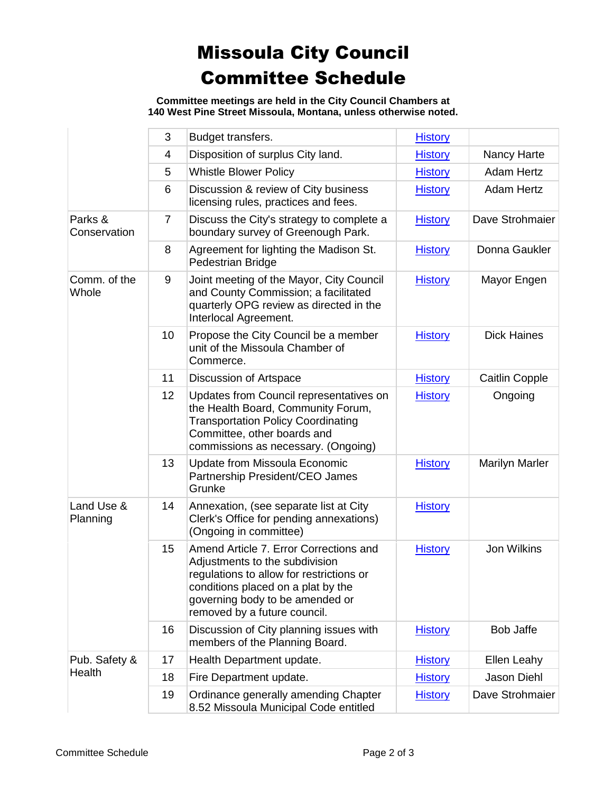## Missoula City Council Committee Schedule

**Committee meetings are held in the City Council Chambers at 140 West Pine Street Missoula, Montana, unless otherwise noted.**

|                         | 3              | Budget transfers.                                                                                                                                                                                                             | <b>History</b> |                       |
|-------------------------|----------------|-------------------------------------------------------------------------------------------------------------------------------------------------------------------------------------------------------------------------------|----------------|-----------------------|
|                         | 4              | Disposition of surplus City land.                                                                                                                                                                                             | <b>History</b> | Nancy Harte           |
|                         | 5              | <b>Whistle Blower Policy</b>                                                                                                                                                                                                  | <b>History</b> | <b>Adam Hertz</b>     |
|                         | 6              | Discussion & review of City business<br>licensing rules, practices and fees.                                                                                                                                                  | <b>History</b> | <b>Adam Hertz</b>     |
| Parks &<br>Conservation | $\overline{7}$ | Discuss the City's strategy to complete a<br>boundary survey of Greenough Park.                                                                                                                                               | <b>History</b> | Dave Strohmaier       |
|                         | 8              | Agreement for lighting the Madison St.<br>Pedestrian Bridge                                                                                                                                                                   | <b>History</b> | Donna Gaukler         |
| Comm. of the<br>Whole   | 9              | Joint meeting of the Mayor, City Council<br>and County Commission; a facilitated<br>quarterly OPG review as directed in the<br>Interlocal Agreement.                                                                          | <b>History</b> | Mayor Engen           |
|                         | 10             | Propose the City Council be a member<br>unit of the Missoula Chamber of<br>Commerce.                                                                                                                                          | <b>History</b> | <b>Dick Haines</b>    |
|                         | 11             | Discussion of Artspace                                                                                                                                                                                                        | <b>History</b> | <b>Caitlin Copple</b> |
|                         | 12             | Updates from Council representatives on<br>the Health Board, Community Forum,<br><b>Transportation Policy Coordinating</b><br>Committee, other boards and<br>commissions as necessary. (Ongoing)                              | <b>History</b> | Ongoing               |
|                         | 13             | Update from Missoula Economic<br>Partnership President/CEO James<br>Grunke                                                                                                                                                    | <b>History</b> | <b>Marilyn Marler</b> |
| Land Use &<br>Planning  | 14             | Annexation, (see separate list at City<br>Clerk's Office for pending annexations)<br>(Ongoing in committee)                                                                                                                   | <b>History</b> |                       |
|                         | 15             | Amend Article 7. Error Corrections and<br>Adjustments to the subdivision<br>regulations to allow for restrictions or<br>conditions placed on a plat by the<br>governing body to be amended or<br>removed by a future council. | <b>History</b> | Jon Wilkins           |
|                         | 16             | Discussion of City planning issues with<br>members of the Planning Board.                                                                                                                                                     | <b>History</b> | <b>Bob Jaffe</b>      |
| Pub. Safety &           | 17             | Health Department update.                                                                                                                                                                                                     | <b>History</b> | Ellen Leahy           |
| Health                  | 18             | Fire Department update.                                                                                                                                                                                                       | <b>History</b> | Jason Diehl           |
|                         | 19             | Ordinance generally amending Chapter<br>8.52 Missoula Municipal Code entitled                                                                                                                                                 | <b>History</b> | Dave Strohmaier       |